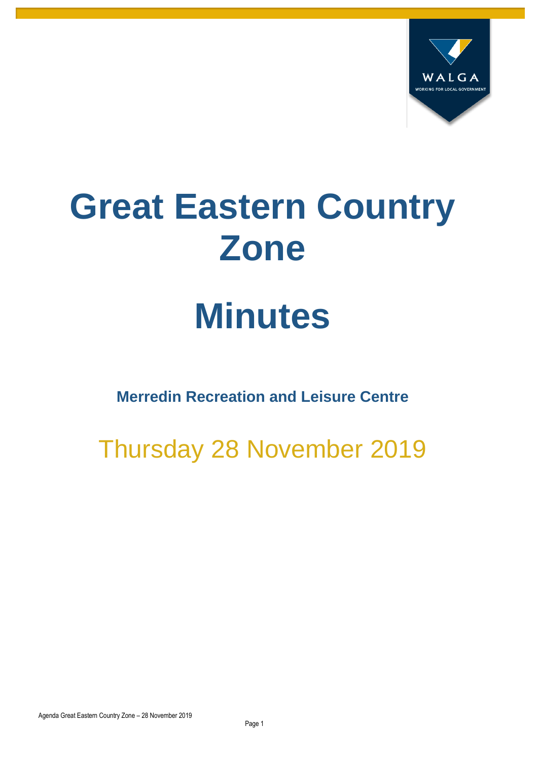

# **Great Eastern Country Zone**

## **Minutes**

**Merredin Recreation and Leisure Centre**

Thursday 28 November 2019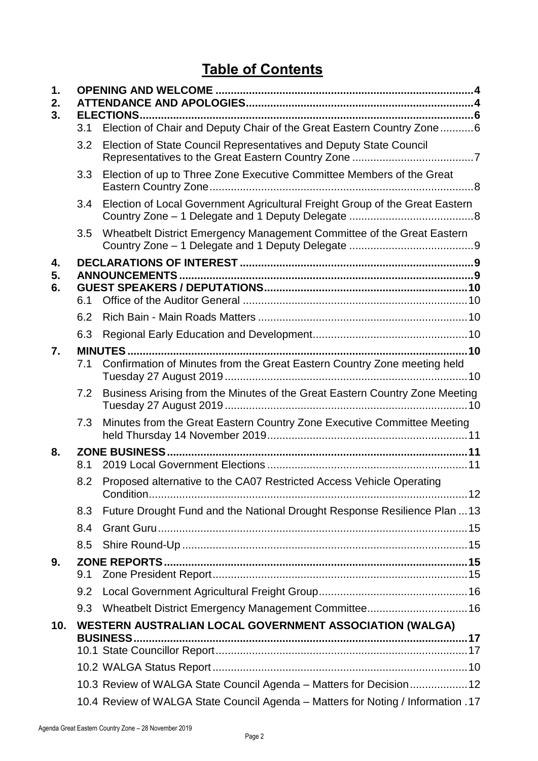### **Table of Contents**

| 1.<br>2. |     |                                                                                  |  |  |  |
|----------|-----|----------------------------------------------------------------------------------|--|--|--|
| 3.       |     |                                                                                  |  |  |  |
|          | 3.1 | Election of Chair and Deputy Chair of the Great Eastern Country Zone6            |  |  |  |
|          | 3.2 | Election of State Council Representatives and Deputy State Council               |  |  |  |
|          | 3.3 | Election of up to Three Zone Executive Committee Members of the Great            |  |  |  |
|          | 3.4 | Election of Local Government Agricultural Freight Group of the Great Eastern     |  |  |  |
|          | 3.5 | Wheatbelt District Emergency Management Committee of the Great Eastern           |  |  |  |
| 4.       |     |                                                                                  |  |  |  |
| 5.       |     |                                                                                  |  |  |  |
| 6.       | 6.1 |                                                                                  |  |  |  |
|          | 6.2 |                                                                                  |  |  |  |
|          | 6.3 |                                                                                  |  |  |  |
| 7.       |     |                                                                                  |  |  |  |
|          | 7.1 | Confirmation of Minutes from the Great Eastern Country Zone meeting held         |  |  |  |
|          | 7.2 | Business Arising from the Minutes of the Great Eastern Country Zone Meeting      |  |  |  |
|          | 7.3 | Minutes from the Great Eastern Country Zone Executive Committee Meeting          |  |  |  |
| 8.       | 8.1 |                                                                                  |  |  |  |
|          | 8.2 | Proposed alternative to the CA07 Restricted Access Vehicle Operating             |  |  |  |
|          | 8.3 | Future Drought Fund and the National Drought Response Resilience Plan  13        |  |  |  |
|          | 8.4 |                                                                                  |  |  |  |
|          | 8.5 |                                                                                  |  |  |  |
| 9.       |     |                                                                                  |  |  |  |
|          | 9.1 |                                                                                  |  |  |  |
|          | 9.2 |                                                                                  |  |  |  |
|          | 9.3 | Wheatbelt District Emergency Management Committee 16                             |  |  |  |
| 10.      |     | WESTERN AUSTRALIAN LOCAL GOVERNMENT ASSOCIATION (WALGA)                          |  |  |  |
|          |     |                                                                                  |  |  |  |
|          |     |                                                                                  |  |  |  |
|          |     |                                                                                  |  |  |  |
|          |     | 10.3 Review of WALGA State Council Agenda - Matters for Decision12               |  |  |  |
|          |     | 17. 10.4 Review of WALGA State Council Agenda - Matters for Noting / Information |  |  |  |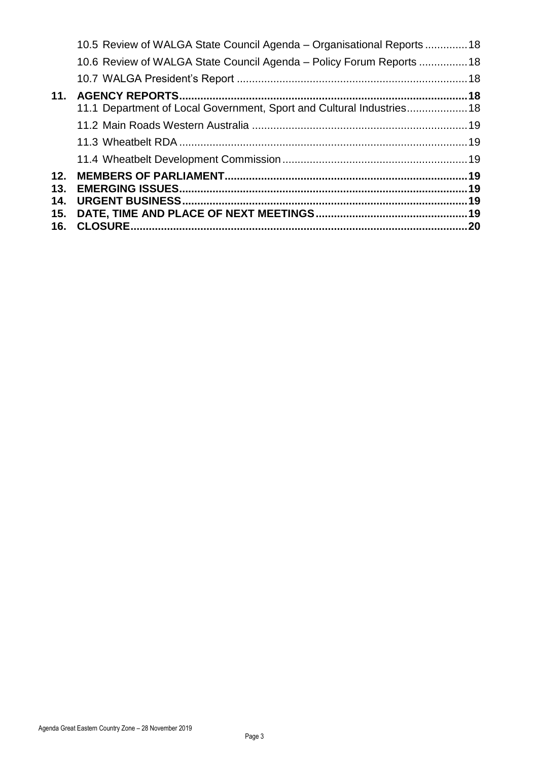| 15.<br>16. |                                                                       |  |
|------------|-----------------------------------------------------------------------|--|
| 14.        |                                                                       |  |
| 13.        |                                                                       |  |
| 12.        |                                                                       |  |
|            |                                                                       |  |
|            |                                                                       |  |
|            |                                                                       |  |
|            | 11.1 Department of Local Government, Sport and Cultural Industries18  |  |
| 11.        |                                                                       |  |
|            |                                                                       |  |
|            | 10.6 Review of WALGA State Council Agenda – Policy Forum Reports 18   |  |
|            | 10.5 Review of WALGA State Council Agenda – Organisational Reports 18 |  |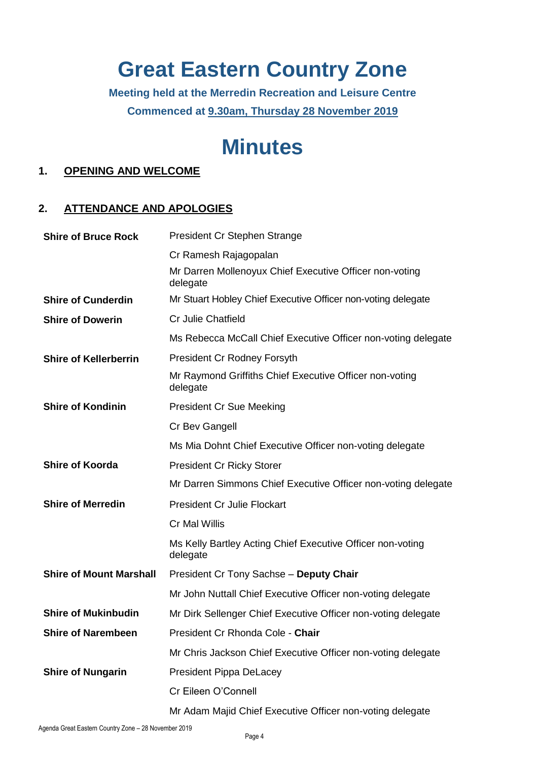## **Great Eastern Country Zone**

**Meeting held at the Merredin Recreation and Leisure Centre Commenced at 9.30am, Thursday 28 November 2019**

## **Minutes**

#### <span id="page-3-0"></span>**1. OPENING AND WELCOME**

#### <span id="page-3-1"></span>**2. ATTENDANCE AND APOLOGIES**

| <b>Shire of Bruce Rock</b>     | President Cr Stephen Strange                                           |  |  |
|--------------------------------|------------------------------------------------------------------------|--|--|
|                                | Cr Ramesh Rajagopalan                                                  |  |  |
|                                | Mr Darren Mollenoyux Chief Executive Officer non-voting<br>delegate    |  |  |
| <b>Shire of Cunderdin</b>      | Mr Stuart Hobley Chief Executive Officer non-voting delegate           |  |  |
| <b>Shire of Dowerin</b>        | <b>Cr Julie Chatfield</b>                                              |  |  |
|                                | Ms Rebecca McCall Chief Executive Officer non-voting delegate          |  |  |
| <b>Shire of Kellerberrin</b>   | <b>President Cr Rodney Forsyth</b>                                     |  |  |
|                                | Mr Raymond Griffiths Chief Executive Officer non-voting<br>delegate    |  |  |
| <b>Shire of Kondinin</b>       | <b>President Cr Sue Meeking</b>                                        |  |  |
|                                | Cr Bev Gangell                                                         |  |  |
|                                | Ms Mia Dohnt Chief Executive Officer non-voting delegate               |  |  |
| <b>Shire of Koorda</b>         | <b>President Cr Ricky Storer</b>                                       |  |  |
|                                | Mr Darren Simmons Chief Executive Officer non-voting delegate          |  |  |
| <b>Shire of Merredin</b>       | <b>President Cr Julie Flockart</b>                                     |  |  |
|                                | <b>Cr Mal Willis</b>                                                   |  |  |
|                                | Ms Kelly Bartley Acting Chief Executive Officer non-voting<br>delegate |  |  |
| <b>Shire of Mount Marshall</b> | President Cr Tony Sachse - Deputy Chair                                |  |  |
|                                | Mr John Nuttall Chief Executive Officer non-voting delegate            |  |  |
| <b>Shire of Mukinbudin</b>     | Mr Dirk Sellenger Chief Executive Officer non-voting delegate          |  |  |
| <b>Shire of Narembeen</b>      | President Cr Rhonda Cole - Chair                                       |  |  |
|                                | Mr Chris Jackson Chief Executive Officer non-voting delegate           |  |  |
| <b>Shire of Nungarin</b>       | <b>President Pippa DeLacey</b>                                         |  |  |
|                                | Cr Eileen O'Connell                                                    |  |  |
|                                | Mr Adam Majid Chief Executive Officer non-voting delegate              |  |  |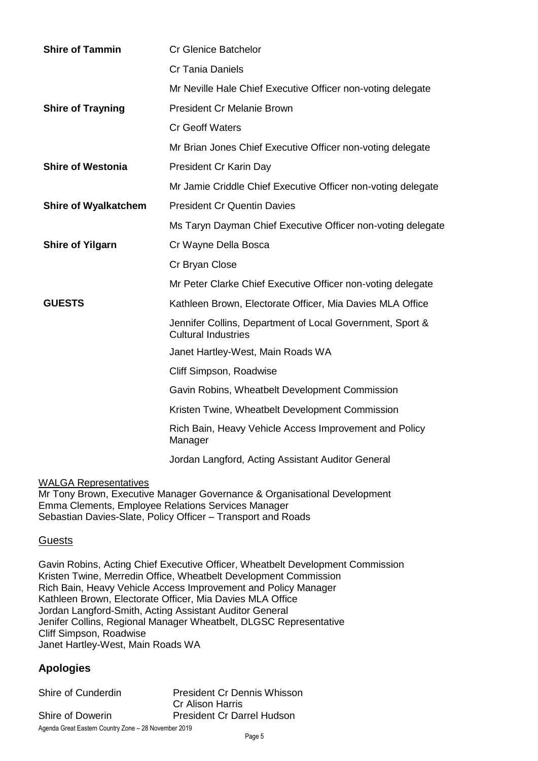| <b>Cr Glenice Batchelor</b>                                                             |  |  |
|-----------------------------------------------------------------------------------------|--|--|
| <b>Cr Tania Daniels</b>                                                                 |  |  |
| Mr Neville Hale Chief Executive Officer non-voting delegate                             |  |  |
| <b>President Cr Melanie Brown</b>                                                       |  |  |
| <b>Cr Geoff Waters</b>                                                                  |  |  |
| Mr Brian Jones Chief Executive Officer non-voting delegate                              |  |  |
| President Cr Karin Day                                                                  |  |  |
| Mr Jamie Criddle Chief Executive Officer non-voting delegate                            |  |  |
| <b>President Cr Quentin Davies</b>                                                      |  |  |
| Ms Taryn Dayman Chief Executive Officer non-voting delegate                             |  |  |
| Cr Wayne Della Bosca                                                                    |  |  |
| Cr Bryan Close                                                                          |  |  |
| Mr Peter Clarke Chief Executive Officer non-voting delegate                             |  |  |
| Kathleen Brown, Electorate Officer, Mia Davies MLA Office                               |  |  |
| Jennifer Collins, Department of Local Government, Sport &<br><b>Cultural Industries</b> |  |  |
| Janet Hartley-West, Main Roads WA                                                       |  |  |
| Cliff Simpson, Roadwise                                                                 |  |  |
| Gavin Robins, Wheatbelt Development Commission                                          |  |  |
| Kristen Twine, Wheatbelt Development Commission                                         |  |  |
| Rich Bain, Heavy Vehicle Access Improvement and Policy<br>Manager                       |  |  |
| Jordan Langford, Acting Assistant Auditor General                                       |  |  |
|                                                                                         |  |  |

WALGA Representatives

Mr Tony Brown, Executive Manager Governance & Organisational Development Emma Clements, Employee Relations Services Manager Sebastian Davies-Slate, Policy Officer – Transport and Roads

#### **Guests**

Gavin Robins, Acting Chief Executive Officer, Wheatbelt Development Commission Kristen Twine, Merredin Office, Wheatbelt Development Commission Rich Bain, Heavy Vehicle Access Improvement and Policy Manager Kathleen Brown, Electorate Officer, Mia Davies MLA Office Jordan Langford-Smith, Acting Assistant Auditor General Jenifer Collins, Regional Manager Wheatbelt, DLGSC Representative Cliff Simpson, Roadwise Janet Hartley-West, Main Roads WA

#### **Apologies**

Shire of Cunderdin President Cr Dennis Whisson

Agenda Great Eastern Country Zone – 28 November 2019 Cr Alison Harris Shire of Dowerin President Cr Darrel Hudson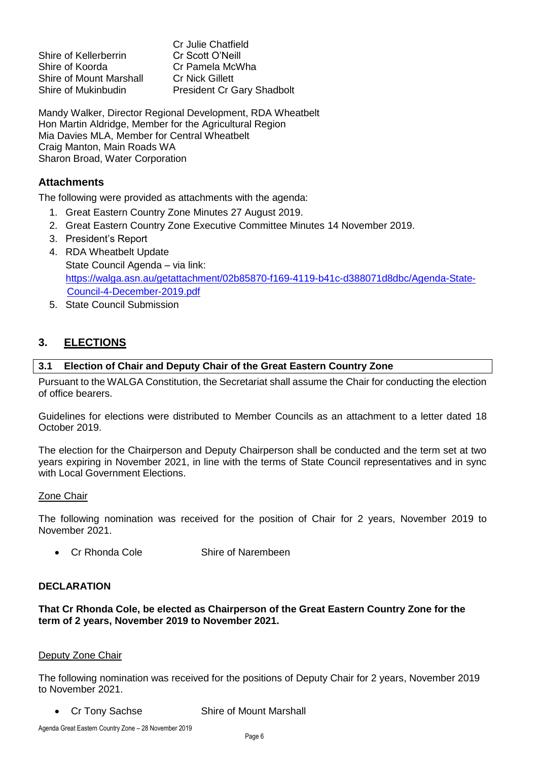Shire of Kellerberrin Shire of Koorda Cr Pamela McWha Shire of Mount Marshall Cr Nick Gillett

Cr Julie Chatfield<br>Cr Scott O'Neill Shire of Mukinbudin President Cr Gary Shadbolt

Mandy Walker, Director Regional Development, RDA Wheatbelt Hon Martin Aldridge, Member for the Agricultural Region Mia Davies MLA, Member for Central Wheatbelt Craig Manton, Main Roads WA Sharon Broad, Water Corporation

#### **Attachments**

The following were provided as attachments with the agenda:

- 1. Great Eastern Country Zone Minutes 27 August 2019.
- 2. Great Eastern Country Zone Executive Committee Minutes 14 November 2019.
- 3. President's Report
- 4. RDA Wheatbelt Update State Council Agenda – via link: [https://walga.asn.au/getattachment/02b85870-f169-4119-b41c-d388071d8dbc/Agenda-State-](https://walga.asn.au/getattachment/02b85870-f169-4119-b41c-d388071d8dbc/Agenda-State-Council-4-December-2019.pdf)[Council-4-December-2019.pdf](https://walga.asn.au/getattachment/02b85870-f169-4119-b41c-d388071d8dbc/Agenda-State-Council-4-December-2019.pdf)
- 5. State Council Submission

#### <span id="page-5-0"></span>**3. ELECTIONS**

#### <span id="page-5-1"></span>**3.1 Election of Chair and Deputy Chair of the Great Eastern Country Zone**

Pursuant to the WALGA Constitution, the Secretariat shall assume the Chair for conducting the election of office bearers.

Guidelines for elections were distributed to Member Councils as an attachment to a letter dated 18 October 2019.

The election for the Chairperson and Deputy Chairperson shall be conducted and the term set at two years expiring in November 2021, in line with the terms of State Council representatives and in sync with Local Government Elections.

#### Zone Chair

The following nomination was received for the position of Chair for 2 years, November 2019 to November 2021.

• Cr Rhonda Cole Shire of Narembeen

#### **DECLARATION**

**That Cr Rhonda Cole, be elected as Chairperson of the Great Eastern Country Zone for the term of 2 years, November 2019 to November 2021.**

#### Deputy Zone Chair

The following nomination was received for the positions of Deputy Chair for 2 years, November 2019 to November 2021.

• Cr Tony Sachse Shire of Mount Marshall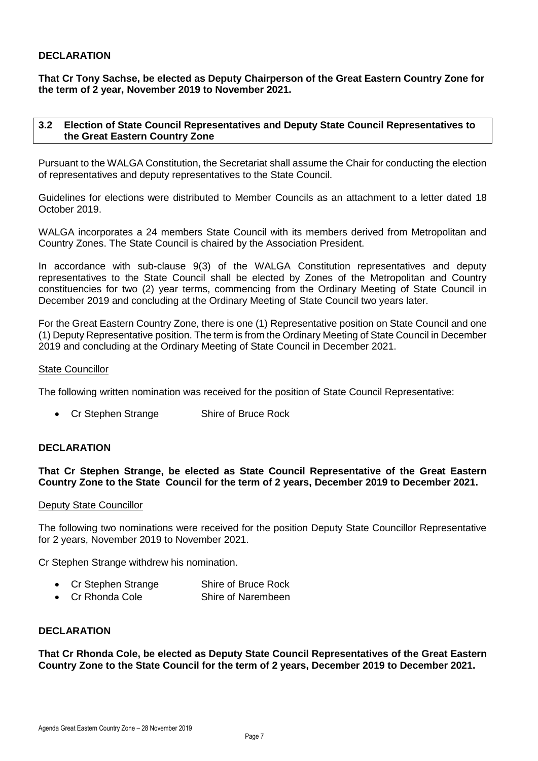#### **DECLARATION**

**That Cr Tony Sachse, be elected as Deputy Chairperson of the Great Eastern Country Zone for the term of 2 year, November 2019 to November 2021.**

#### <span id="page-6-0"></span>**3.2 Election of State Council Representatives and Deputy State Council Representatives to the Great Eastern Country Zone**

Pursuant to the WALGA Constitution, the Secretariat shall assume the Chair for conducting the election of representatives and deputy representatives to the State Council.

Guidelines for elections were distributed to Member Councils as an attachment to a letter dated 18 October 2019.

WALGA incorporates a 24 members State Council with its members derived from Metropolitan and Country Zones. The State Council is chaired by the Association President.

In accordance with sub-clause 9(3) of the WALGA Constitution representatives and deputy representatives to the State Council shall be elected by Zones of the Metropolitan and Country constituencies for two (2) year terms, commencing from the Ordinary Meeting of State Council in December 2019 and concluding at the Ordinary Meeting of State Council two years later.

For the Great Eastern Country Zone, there is one (1) Representative position on State Council and one (1) Deputy Representative position. The term is from the Ordinary Meeting of State Council in December 2019 and concluding at the Ordinary Meeting of State Council in December 2021.

#### State Councillor

The following written nomination was received for the position of State Council Representative:

• Cr Stephen Strange Shire of Bruce Rock

#### **DECLARATION**

#### **That Cr Stephen Strange, be elected as State Council Representative of the Great Eastern Country Zone to the State Council for the term of 2 years, December 2019 to December 2021.**

#### Deputy State Councillor

The following two nominations were received for the position Deputy State Councillor Representative for 2 years, November 2019 to November 2021.

Cr Stephen Strange withdrew his nomination.

- Cr Stephen Strange Shire of Bruce Rock
- Cr Rhonda Cole Shire of Narembeen

#### **DECLARATION**

**That Cr Rhonda Cole, be elected as Deputy State Council Representatives of the Great Eastern Country Zone to the State Council for the term of 2 years, December 2019 to December 2021.**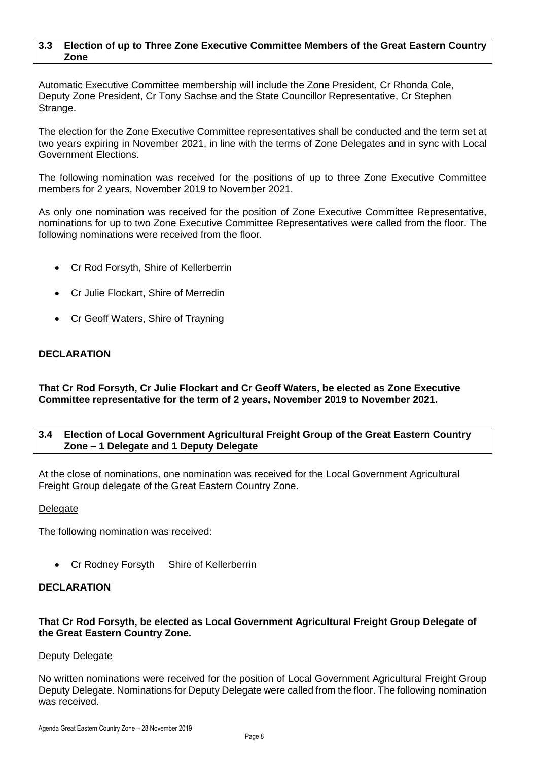#### <span id="page-7-0"></span>**3.3 Election of up to Three Zone Executive Committee Members of the Great Eastern Country Zone**

Automatic Executive Committee membership will include the Zone President, Cr Rhonda Cole, Deputy Zone President, Cr Tony Sachse and the State Councillor Representative, Cr Stephen Strange.

The election for the Zone Executive Committee representatives shall be conducted and the term set at two years expiring in November 2021, in line with the terms of Zone Delegates and in sync with Local Government Elections.

The following nomination was received for the positions of up to three Zone Executive Committee members for 2 years, November 2019 to November 2021.

As only one nomination was received for the position of Zone Executive Committee Representative, nominations for up to two Zone Executive Committee Representatives were called from the floor. The following nominations were received from the floor.

- Cr Rod Forsyth, Shire of Kellerberrin
- Cr Julie Flockart, Shire of Merredin
- Cr Geoff Waters, Shire of Trayning

#### **DECLARATION**

**That Cr Rod Forsyth, Cr Julie Flockart and Cr Geoff Waters, be elected as Zone Executive Committee representative for the term of 2 years, November 2019 to November 2021.**

#### <span id="page-7-1"></span>**3.4 Election of Local Government Agricultural Freight Group of the Great Eastern Country Zone – 1 Delegate and 1 Deputy Delegate**

At the close of nominations, one nomination was received for the Local Government Agricultural Freight Group delegate of the Great Eastern Country Zone.

#### Delegate

The following nomination was received:

Cr Rodney Forsyth Shire of Kellerberrin

#### **DECLARATION**

#### **That Cr Rod Forsyth, be elected as Local Government Agricultural Freight Group Delegate of the Great Eastern Country Zone.**

#### Deputy Delegate

No written nominations were received for the position of Local Government Agricultural Freight Group Deputy Delegate. Nominations for Deputy Delegate were called from the floor. The following nomination was received.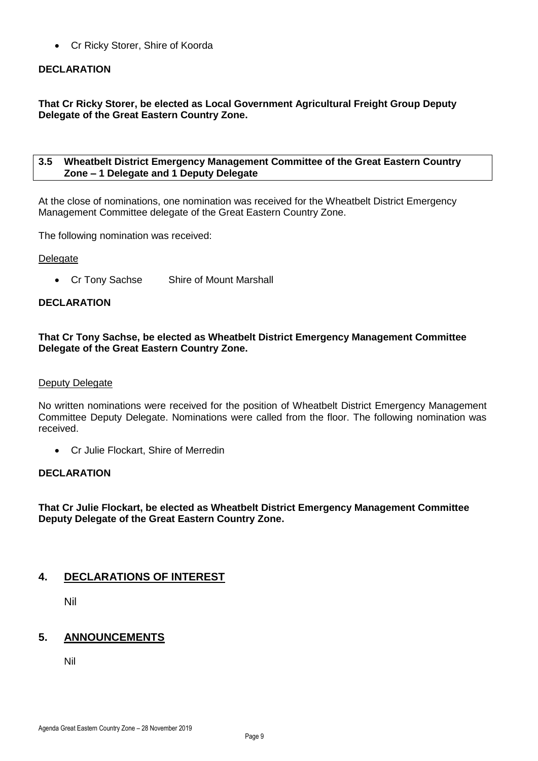Cr Ricky Storer, Shire of Koorda

#### **DECLARATION**

**That Cr Ricky Storer, be elected as Local Government Agricultural Freight Group Deputy Delegate of the Great Eastern Country Zone.**

#### <span id="page-8-0"></span>**3.5 Wheatbelt District Emergency Management Committee of the Great Eastern Country Zone – 1 Delegate and 1 Deputy Delegate**

At the close of nominations, one nomination was received for the Wheatbelt District Emergency Management Committee delegate of the Great Eastern Country Zone.

The following nomination was received:

#### Delegate

Cr Tony Sachse Shire of Mount Marshall

#### **DECLARATION**

#### **That Cr Tony Sachse, be elected as Wheatbelt District Emergency Management Committee Delegate of the Great Eastern Country Zone.**

#### Deputy Delegate

No written nominations were received for the position of Wheatbelt District Emergency Management Committee Deputy Delegate. Nominations were called from the floor. The following nomination was received.

• Cr Julie Flockart, Shire of Merredin

#### **DECLARATION**

**That Cr Julie Flockart, be elected as Wheatbelt District Emergency Management Committee Deputy Delegate of the Great Eastern Country Zone.**

#### <span id="page-8-1"></span>**4. DECLARATIONS OF INTEREST**

Nil

#### <span id="page-8-2"></span>**5. ANNOUNCEMENTS**

Nil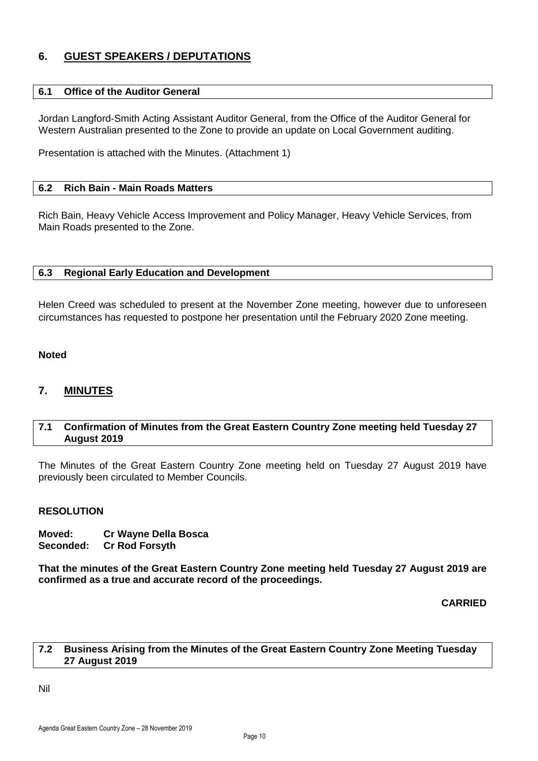#### <span id="page-9-0"></span>**6. GUEST SPEAKERS / DEPUTATIONS**

#### <span id="page-9-1"></span>**6.1 Office of the Auditor General**

Jordan Langford-Smith Acting Assistant Auditor General, from the Office of the Auditor General for Western Australian presented to the Zone to provide an update on Local Government auditing.

Presentation is attached with the Minutes. (Attachment 1)

#### <span id="page-9-2"></span>**6.2 Rich Bain - Main Roads Matters**

Rich Bain, Heavy Vehicle Access Improvement and Policy Manager, Heavy Vehicle Services, from Main Roads presented to the Zone.

#### <span id="page-9-3"></span>**6.3 Regional Early Education and Development**

Helen Creed was scheduled to present at the November Zone meeting, however due to unforeseen circumstances has requested to postpone her presentation until the February 2020 Zone meeting.

#### **Noted**

#### <span id="page-9-4"></span>**7. MINUTES**

#### <span id="page-9-5"></span>**7.1 Confirmation of Minutes from the Great Eastern Country Zone meeting held Tuesday 27 August 2019**

The Minutes of the Great Eastern Country Zone meeting held on Tuesday 27 August 2019 have previously been circulated to Member Councils.

#### **RESOLUTION**

**Moved: Cr Wayne Della Bosca Seconded: Cr Rod Forsyth**

**That the minutes of the Great Eastern Country Zone meeting held Tuesday 27 August 2019 are confirmed as a true and accurate record of the proceedings.**

**CARRIED**

#### <span id="page-9-6"></span>**7.2 Business Arising from the Minutes of the Great Eastern Country Zone Meeting Tuesday 27 August 2019**

Nil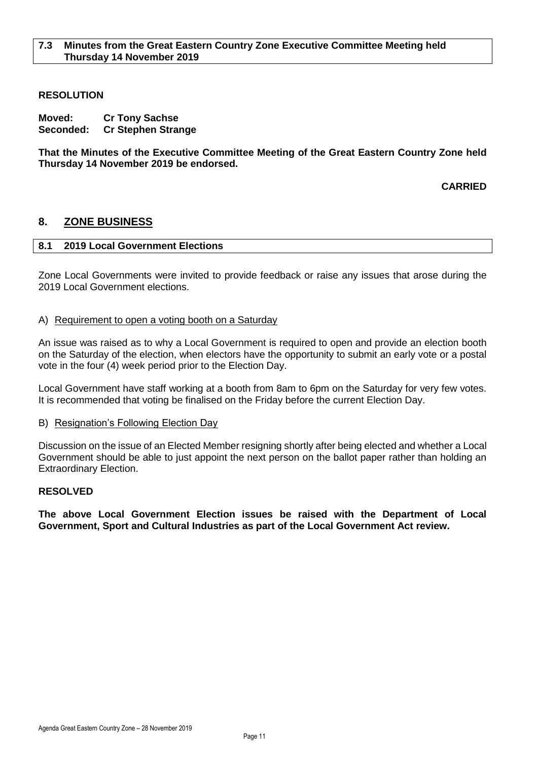#### <span id="page-10-0"></span>**RESOLUTION**

**Moved: Cr Tony Sachse Seconded: Cr Stephen Strange**

**That the Minutes of the Executive Committee Meeting of the Great Eastern Country Zone held Thursday 14 November 2019 be endorsed.**

**CARRIED**

#### <span id="page-10-2"></span><span id="page-10-1"></span>**8. ZONE BUSINESS**

#### **8.1 2019 Local Government Elections**

Zone Local Governments were invited to provide feedback or raise any issues that arose during the 2019 Local Government elections.

#### A) Requirement to open a voting booth on a Saturday

An issue was raised as to why a Local Government is required to open and provide an election booth on the Saturday of the election, when electors have the opportunity to submit an early vote or a postal vote in the four (4) week period prior to the Election Day.

Local Government have staff working at a booth from 8am to 6pm on the Saturday for very few votes. It is recommended that voting be finalised on the Friday before the current Election Day.

#### B) Resignation's Following Election Day

Discussion on the issue of an Elected Member resigning shortly after being elected and whether a Local Government should be able to just appoint the next person on the ballot paper rather than holding an Extraordinary Election.

#### **RESOLVED**

**The above Local Government Election issues be raised with the Department of Local Government, Sport and Cultural Industries as part of the Local Government Act review.**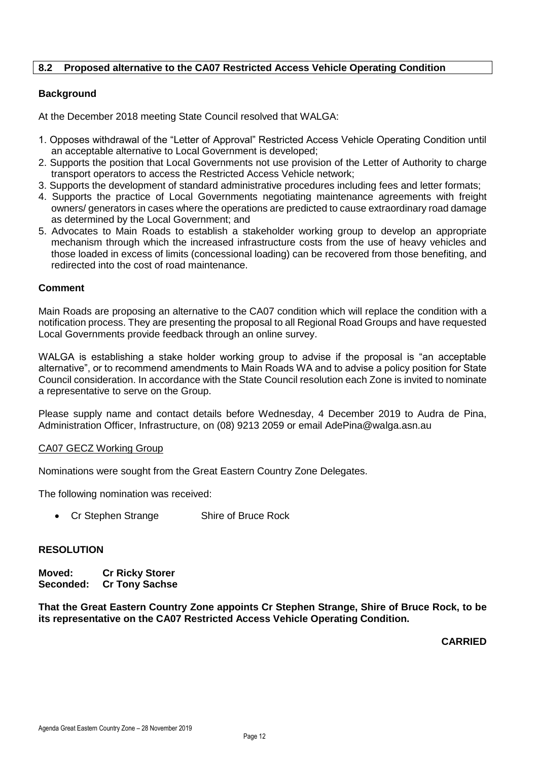#### <span id="page-11-0"></span>**8.2 Proposed alternative to the CA07 Restricted Access Vehicle Operating Condition**

#### **Background**

At the December 2018 meeting State Council resolved that WALGA:

- 1. Opposes withdrawal of the "Letter of Approval" Restricted Access Vehicle Operating Condition until an acceptable alternative to Local Government is developed;
- 2. Supports the position that Local Governments not use provision of the Letter of Authority to charge transport operators to access the Restricted Access Vehicle network;
- 3. Supports the development of standard administrative procedures including fees and letter formats;
- 4. Supports the practice of Local Governments negotiating maintenance agreements with freight owners/ generators in cases where the operations are predicted to cause extraordinary road damage as determined by the Local Government; and
- 5. Advocates to Main Roads to establish a stakeholder working group to develop an appropriate mechanism through which the increased infrastructure costs from the use of heavy vehicles and those loaded in excess of limits (concessional loading) can be recovered from those benefiting, and redirected into the cost of road maintenance.

#### **Comment**

Main Roads are proposing an alternative to the CA07 condition which will replace the condition with a notification process. They are presenting the proposal to all Regional Road Groups and have requested Local Governments provide feedback through an online survey.

WALGA is establishing a stake holder working group to advise if the proposal is "an acceptable alternative", or to recommend amendments to Main Roads WA and to advise a policy position for State Council consideration. In accordance with the State Council resolution each Zone is invited to nominate a representative to serve on the Group.

Please supply name and contact details before Wednesday, 4 December 2019 to Audra de Pina, Administration Officer, Infrastructure, on (08) 9213 2059 or email AdePina@walga.asn.au

#### CA07 GECZ Working Group

Nominations were sought from the Great Eastern Country Zone Delegates.

The following nomination was received:

• Cr Stephen Strange Shire of Bruce Rock

#### **RESOLUTION**

**Moved: Cr Ricky Storer Seconded: Cr Tony Sachse**

**That the Great Eastern Country Zone appoints Cr Stephen Strange, Shire of Bruce Rock, to be its representative on the CA07 Restricted Access Vehicle Operating Condition.**

**CARRIED**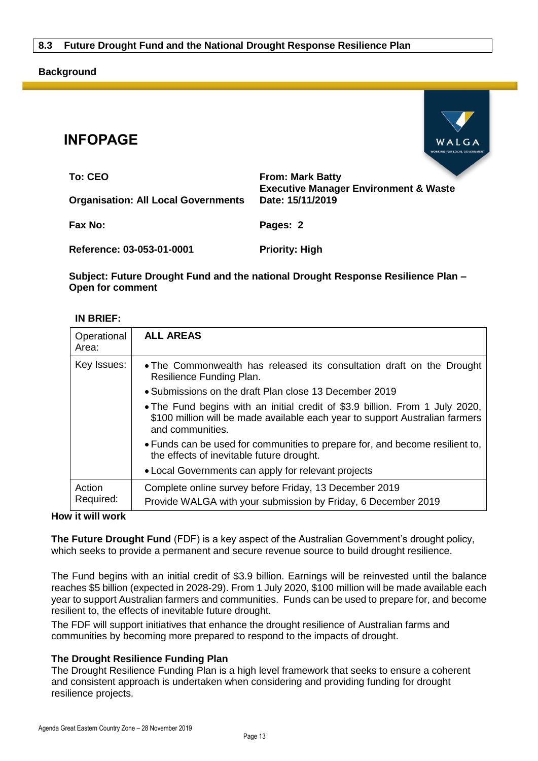#### <span id="page-12-0"></span>**Background**



| To: CEO                                    | <b>From: Mark Batty</b>                                              |
|--------------------------------------------|----------------------------------------------------------------------|
| <b>Organisation: All Local Governments</b> | <b>Executive Manager Environment &amp; Waste</b><br>Date: 15/11/2019 |
| <b>Fax No:</b>                             | Pages: 2                                                             |
| Reference: 03-053-01-0001                  | <b>Priority: High</b>                                                |

#### **Subject: Future Drought Fund and the national Drought Response Resilience Plan – Open for comment**

#### **IN BRIEF:**

**INFOPAGE**

| Operational<br>Area: | <b>ALL AREAS</b>                                                                                                                                                                 |
|----------------------|----------------------------------------------------------------------------------------------------------------------------------------------------------------------------------|
| Key Issues:          | . The Commonwealth has released its consultation draft on the Drought<br>Resilience Funding Plan.                                                                                |
|                      | • Submissions on the draft Plan close 13 December 2019                                                                                                                           |
|                      | • The Fund begins with an initial credit of \$3.9 billion. From 1 July 2020,<br>\$100 million will be made available each year to support Australian farmers<br>and communities. |
|                      | • Funds can be used for communities to prepare for, and become resilient to,<br>the effects of inevitable future drought.                                                        |
|                      | • Local Governments can apply for relevant projects                                                                                                                              |
| Action<br>Required:  | Complete online survey before Friday, 13 December 2019<br>Provide WALGA with your submission by Friday, 6 December 2019                                                          |

#### **How it will work**

**The Future Drought Fund** (FDF) is a key aspect of the Australian Government's drought policy, which seeks to provide a permanent and secure revenue source to build drought resilience.

The Fund begins with an initial credit of \$3.9 billion. Earnings will be reinvested until the balance reaches \$5 billion (expected in 2028-29). From 1 July 2020, \$100 million will be made available each year to support Australian farmers and communities. Funds can be used to prepare for, and become resilient to, the effects of inevitable future drought.

The FDF will support initiatives that enhance the drought resilience of Australian farms and communities by becoming more prepared to respond to the impacts of drought.

#### **The Drought Resilience Funding Plan**

The Drought Resilience Funding Plan is a high level framework that seeks to ensure a coherent and consistent approach is undertaken when considering and providing funding for drought resilience projects.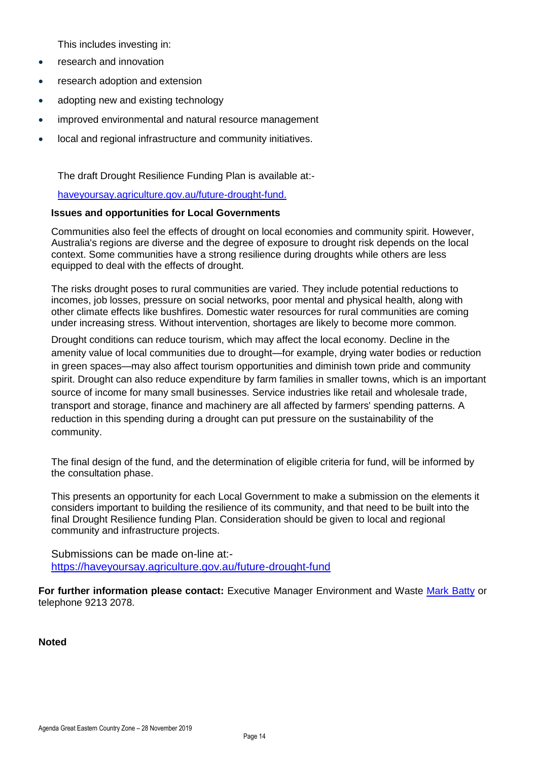This includes investing in:

- research and innovation
- research adoption and extension
- adopting new and existing technology
- improved environmental and natural resource management
- local and regional infrastructure and community initiatives.

The draft Drought Resilience Funding Plan is available at:-

#### [haveyoursay.agriculture.gov.au/future-drought-fund.](https://haveyoursay.agriculture.gov.au/future-drought-fund)

#### **Issues and opportunities for Local Governments**

Communities also feel the effects of drought on local economies and community spirit. However, Australia's regions are diverse and the degree of exposure to drought risk depends on the local context. Some communities have a strong resilience during droughts while others are less equipped to deal with the effects of drought.

The risks drought poses to rural communities are varied. They include potential reductions to incomes, job losses, pressure on social networks, poor mental and physical health, along with other climate effects like bushfires. Domestic water resources for rural communities are coming under increasing stress. Without intervention, shortages are likely to become more common.

Drought conditions can reduce tourism, which may affect the local economy. Decline in the amenity value of local communities due to drought—for example, drying water bodies or reduction in green spaces—may also affect tourism opportunities and diminish town pride and community spirit. Drought can also reduce expenditure by farm families in smaller towns, which is an important source of income for many small businesses. Service industries like retail and wholesale trade, transport and storage, finance and machinery are all affected by farmers' spending patterns. A reduction in this spending during a drought can put pressure on the sustainability of the community.

The final design of the fund, and the determination of eligible criteria for fund, will be informed by the consultation phase.

This presents an opportunity for each Local Government to make a submission on the elements it considers important to building the resilience of its community, and that need to be built into the final Drought Resilience funding Plan. Consideration should be given to local and regional community and infrastructure projects.

Submissions can be made on-line at: <https://haveyoursay.agriculture.gov.au/future-drought-fund>

**For further information please contact:** Executive Manager Environment and Waste [Mark Batty](mailto:mbatty@walga.asn.au?subject=Climate%20Resilient%20Councils) or telephone 9213 2078.

**Noted**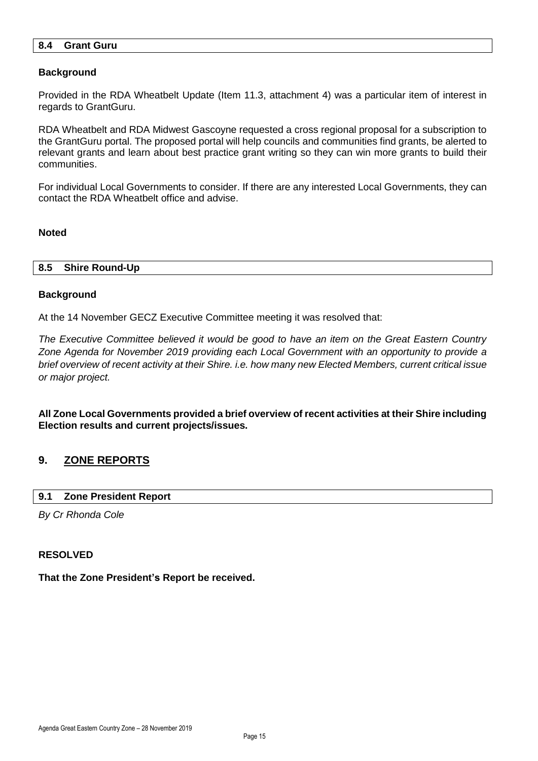#### <span id="page-14-0"></span>**8.4 Grant Guru**

#### **Background**

Provided in the RDA Wheatbelt Update (Item 11.3, attachment 4) was a particular item of interest in regards to GrantGuru.

RDA Wheatbelt and RDA Midwest Gascoyne requested a cross regional proposal for a subscription to the GrantGuru portal. The proposed portal will help councils and communities find grants, be alerted to relevant grants and learn about best practice grant writing so they can win more grants to build their communities.

For individual Local Governments to consider. If there are any interested Local Governments, they can contact the RDA Wheatbelt office and advise.

#### **Noted**

#### <span id="page-14-1"></span>**8.5 Shire Round-Up**

#### **Background**

At the 14 November GECZ Executive Committee meeting it was resolved that:

*The Executive Committee believed it would be good to have an item on the Great Eastern Country Zone Agenda for November 2019 providing each Local Government with an opportunity to provide a brief overview of recent activity at their Shire. i.e. how many new Elected Members, current critical issue or major project.*

**All Zone Local Governments provided a brief overview of recent activities at their Shire including Election results and current projects/issues.**

#### <span id="page-14-2"></span>**9. ZONE REPORTS**

#### <span id="page-14-3"></span>**9.1 Zone President Report**

*By Cr Rhonda Cole*

#### **RESOLVED**

#### **That the Zone President's Report be received.**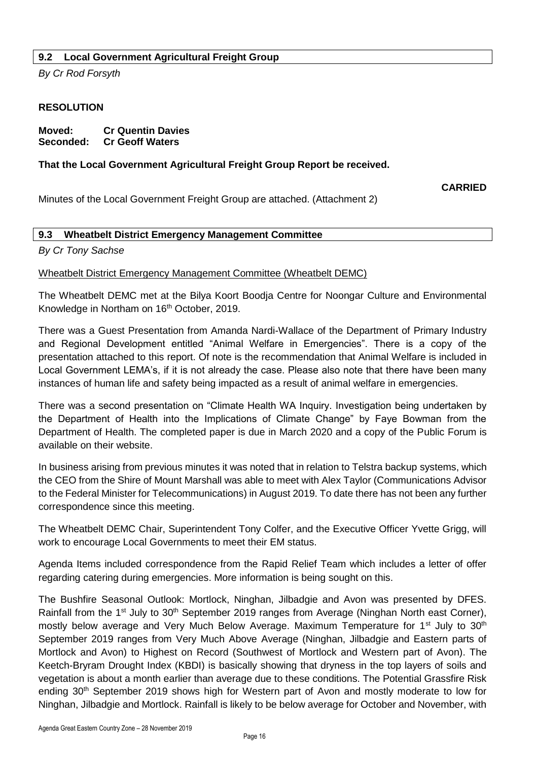#### <span id="page-15-0"></span>**9.2 Local Government Agricultural Freight Group**

*By Cr Rod Forsyth*

#### **RESOLUTION**

| Moved:    | <b>Cr Quentin Davies</b> |
|-----------|--------------------------|
| Seconded: | <b>Cr Geoff Waters</b>   |

#### **That the Local Government Agricultural Freight Group Report be received.**

**CARRIED**

Minutes of the Local Government Freight Group are attached. (Attachment 2)

#### <span id="page-15-1"></span>**9.3 Wheatbelt District Emergency Management Committee**

*By Cr Tony Sachse*

#### Wheatbelt District Emergency Management Committee (Wheatbelt DEMC)

The Wheatbelt DEMC met at the Bilya Koort Boodja Centre for Noongar Culture and Environmental Knowledge in Northam on 16<sup>th</sup> October, 2019.

There was a Guest Presentation from Amanda Nardi-Wallace of the Department of Primary Industry and Regional Development entitled "Animal Welfare in Emergencies". There is a copy of the presentation attached to this report. Of note is the recommendation that Animal Welfare is included in Local Government LEMA's, if it is not already the case. Please also note that there have been many instances of human life and safety being impacted as a result of animal welfare in emergencies.

There was a second presentation on "Climate Health WA Inquiry. Investigation being undertaken by the Department of Health into the Implications of Climate Change" by Faye Bowman from the Department of Health. The completed paper is due in March 2020 and a copy of the Public Forum is available on their website.

In business arising from previous minutes it was noted that in relation to Telstra backup systems, which the CEO from the Shire of Mount Marshall was able to meet with Alex Taylor (Communications Advisor to the Federal Minister for Telecommunications) in August 2019. To date there has not been any further correspondence since this meeting.

The Wheatbelt DEMC Chair, Superintendent Tony Colfer, and the Executive Officer Yvette Grigg, will work to encourage Local Governments to meet their EM status.

Agenda Items included correspondence from the Rapid Relief Team which includes a letter of offer regarding catering during emergencies. More information is being sought on this.

The Bushfire Seasonal Outlook: Mortlock, Ninghan, Jilbadgie and Avon was presented by DFES. Rainfall from the 1<sup>st</sup> July to 30<sup>th</sup> September 2019 ranges from Average (Ninghan North east Corner), mostly below average and Very Much Below Average. Maximum Temperature for 1<sup>st</sup> July to 30<sup>th</sup> September 2019 ranges from Very Much Above Average (Ninghan, Jilbadgie and Eastern parts of Mortlock and Avon) to Highest on Record (Southwest of Mortlock and Western part of Avon). The Keetch-Bryram Drought Index (KBDI) is basically showing that dryness in the top layers of soils and vegetation is about a month earlier than average due to these conditions. The Potential Grassfire Risk ending 30<sup>th</sup> September 2019 shows high for Western part of Avon and mostly moderate to low for Ninghan, Jilbadgie and Mortlock. Rainfall is likely to be below average for October and November, with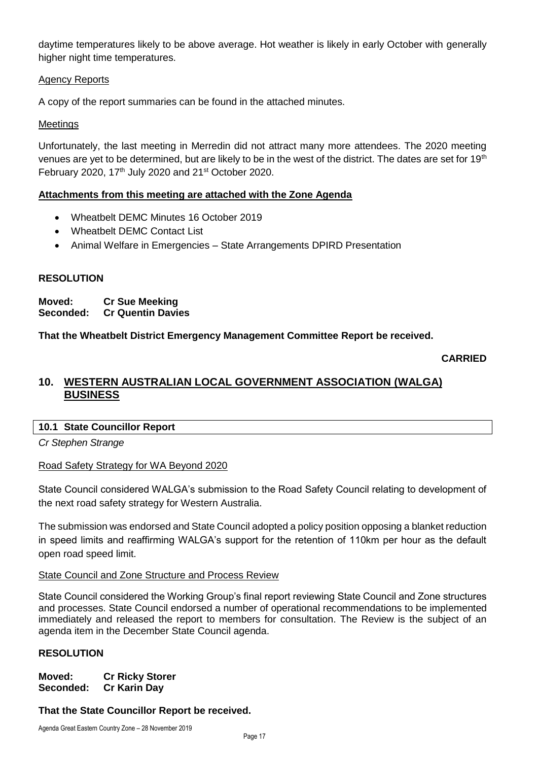daytime temperatures likely to be above average. Hot weather is likely in early October with generally higher night time temperatures.

#### Agency Reports

A copy of the report summaries can be found in the attached minutes.

#### **Meetings**

Unfortunately, the last meeting in Merredin did not attract many more attendees. The 2020 meeting venues are yet to be determined, but are likely to be in the west of the district. The dates are set for 19<sup>th</sup> February 2020, 17<sup>th</sup> July 2020 and 21<sup>st</sup> October 2020.

#### **Attachments from this meeting are attached with the Zone Agenda**

- Wheatbelt DEMC Minutes 16 October 2019
- Wheatbelt DEMC Contact List
- Animal Welfare in Emergencies State Arrangements DPIRD Presentation

#### **RESOLUTION**

**Moved: Cr Sue Meeking Seconded: Cr Quentin Davies**

**That the Wheatbelt District Emergency Management Committee Report be received.**

#### **CARRIED**

#### <span id="page-16-0"></span>**10. WESTERN AUSTRALIAN LOCAL GOVERNMENT ASSOCIATION (WALGA) BUSINESS**

<span id="page-16-1"></span>**10.1 State Councillor Report**

*Cr Stephen Strange*

#### Road Safety Strategy for WA Beyond 2020

State Council considered WALGA's submission to the Road Safety Council relating to development of the next road safety strategy for Western Australia.

The submission was endorsed and State Council adopted a policy position opposing a blanket reduction in speed limits and reaffirming WALGA's support for the retention of 110km per hour as the default open road speed limit.

State Council and Zone Structure and Process Review

State Council considered the Working Group's final report reviewing State Council and Zone structures and processes. State Council endorsed a number of operational recommendations to be implemented immediately and released the report to members for consultation. The Review is the subject of an agenda item in the December State Council agenda.

#### **RESOLUTION**

**Moved: Cr Ricky Storer Seconded: Cr Karin Day**

#### **That the State Councillor Report be received.**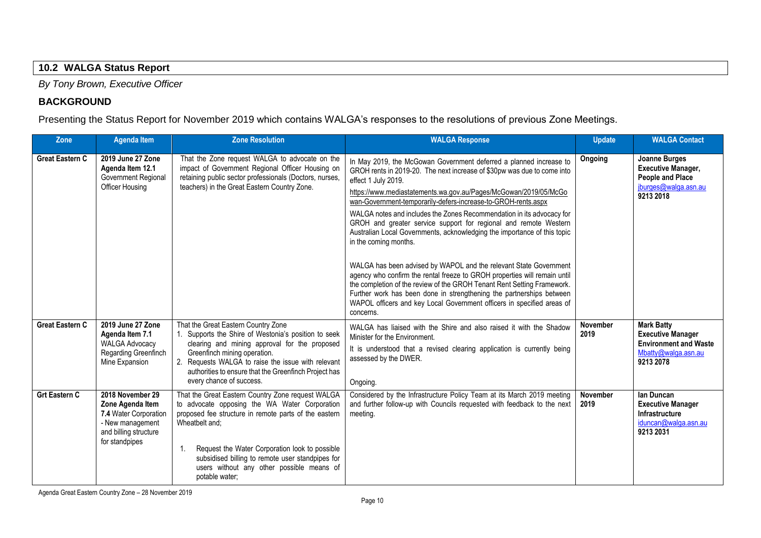#### **10.2 WALGA Status Report**

*By Tony Brown, Executive Officer*

#### **BACKGROUND**

Presenting the Status Report for November 2019 which contains WALGA's responses to the resolutions of previous Zone Meetings.

<span id="page-17-0"></span>

| Zone                   | <b>Agenda Item</b>                                                                                                                                                                                                                                                                                                                                                                                                                                                                                   | <b>Zone Resolution</b>                                                                                                                                                                                                                                                                                                                                                                                                                                                                                                                                                                                                                                                                                                                                                                                                                                                                                                                                                                                                                                                                                                                                                   | <b>WALGA Response</b>                                                                                                                                                                                                | <b>Update</b>    | <b>WALGA Contact</b>                                                                                              |
|------------------------|------------------------------------------------------------------------------------------------------------------------------------------------------------------------------------------------------------------------------------------------------------------------------------------------------------------------------------------------------------------------------------------------------------------------------------------------------------------------------------------------------|--------------------------------------------------------------------------------------------------------------------------------------------------------------------------------------------------------------------------------------------------------------------------------------------------------------------------------------------------------------------------------------------------------------------------------------------------------------------------------------------------------------------------------------------------------------------------------------------------------------------------------------------------------------------------------------------------------------------------------------------------------------------------------------------------------------------------------------------------------------------------------------------------------------------------------------------------------------------------------------------------------------------------------------------------------------------------------------------------------------------------------------------------------------------------|----------------------------------------------------------------------------------------------------------------------------------------------------------------------------------------------------------------------|------------------|-------------------------------------------------------------------------------------------------------------------|
| <b>Great Eastern C</b> | 2019 June 27 Zone<br>Agenda Item 12.1<br>Government Regional<br>Officer Housing                                                                                                                                                                                                                                                                                                                                                                                                                      | That the Zone request WALGA to advocate on the<br>In May 2019, the McGowan Government deferred a planned increase to<br>impact of Government Regional Officer Housing on<br>GROH rents in 2019-20. The next increase of \$30pw was due to come into<br>retaining public sector professionals (Doctors, nurses,<br>effect 1 July 2019.<br>teachers) in the Great Eastern Country Zone.<br>https://www.mediastatements.wa.gov.au/Pages/McGowan/2019/05/McGo<br>wan-Government-temporarily-defers-increase-to-GROH-rents.aspx<br>WALGA notes and includes the Zones Recommendation in its advocacy for<br>GROH and greater service support for regional and remote Western<br>Australian Local Governments, acknowledging the importance of this topic<br>in the coming months.<br>WALGA has been advised by WAPOL and the relevant State Government<br>agency who confirm the rental freeze to GROH properties will remain until<br>the completion of the review of the GROH Tenant Rent Setting Framework.<br>Further work has been done in strengthening the partnerships between<br>WAPOL officers and key Local Government officers in specified areas of<br>concerns. |                                                                                                                                                                                                                      | Ongoing          | <b>Joanne Burges</b><br><b>Executive Manager,</b><br><b>People and Place</b><br>jburges@walga.asn.au<br>9213 2018 |
| <b>Great Eastern C</b> | 2019 June 27 Zone<br>Agenda Item 7.1<br><b>WALGA Advocacy</b><br>Regarding Greenfinch<br>Mine Expansion                                                                                                                                                                                                                                                                                                                                                                                              | That the Great Eastern Country Zone<br>1. Supports the Shire of Westonia's position to seek<br>clearing and mining approval for the proposed<br>Greenfinch mining operation.<br>2. Requests WALGA to raise the issue with relevant<br>authorities to ensure that the Greenfinch Project has<br>every chance of success.                                                                                                                                                                                                                                                                                                                                                                                                                                                                                                                                                                                                                                                                                                                                                                                                                                                  | WALGA has liaised with the Shire and also raised it with the Shadow<br>Minister for the Environment.<br>It is understood that a revised clearing application is currently being<br>assessed by the DWER.<br>Ongoing. | November<br>2019 | <b>Mark Batty</b><br><b>Executive Manager</b><br><b>Environment and Waste</b><br>Mbatty@walga.asn.au<br>9213 2078 |
| <b>Grt Eastern C</b>   | That the Great Eastern Country Zone request WALGA<br>2018 November 29<br>to advocate opposing the WA Water Corporation<br>Zone Agenda Item<br>proposed fee structure in remote parts of the eastern<br>7.4 Water Corporation<br>- New management<br>Wheatbelt and:<br>and billing structure<br>for standpipes<br>Request the Water Corporation look to possible<br>$\mathbf{1}$ .<br>subsidised billing to remote user standpipes for<br>users without any other possible means of<br>potable water; |                                                                                                                                                                                                                                                                                                                                                                                                                                                                                                                                                                                                                                                                                                                                                                                                                                                                                                                                                                                                                                                                                                                                                                          | Considered by the Infrastructure Policy Team at its March 2019 meeting<br>and further follow-up with Councils requested with feedback to the next<br>meeting.                                                        | November<br>2019 | lan Duncan<br><b>Executive Manager</b><br>Infrastructure<br>iduncan@walga.asn.au<br>9213 2031                     |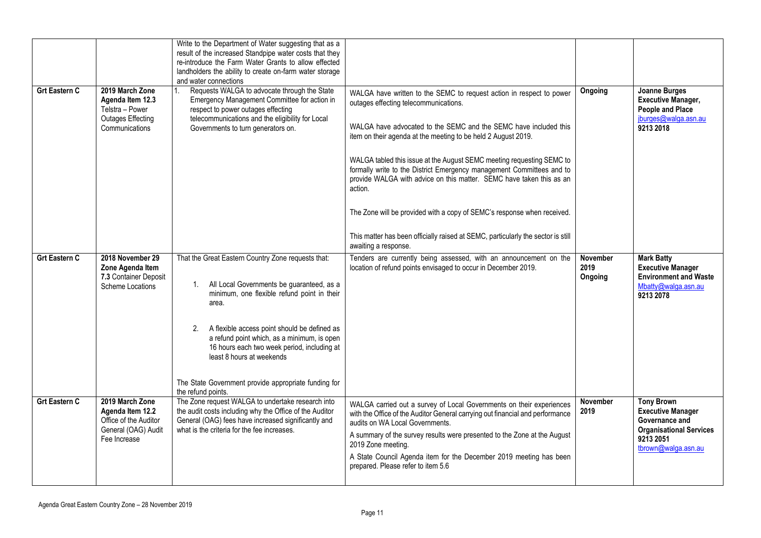|                      |                                                                                                      | Write to the Department of Water suggesting that as a<br>result of the increased Standpipe water costs that they<br>re-introduce the Farm Water Grants to allow effected<br>landholders the ability to create on-farm water storage<br>and water connections                                                                                                                                                                          |                                                                                                                                                                                                                                                                                                                                                                                                                                                                                                                                                                                                                                                                                |                                    |                                                                                                                                       |
|----------------------|------------------------------------------------------------------------------------------------------|---------------------------------------------------------------------------------------------------------------------------------------------------------------------------------------------------------------------------------------------------------------------------------------------------------------------------------------------------------------------------------------------------------------------------------------|--------------------------------------------------------------------------------------------------------------------------------------------------------------------------------------------------------------------------------------------------------------------------------------------------------------------------------------------------------------------------------------------------------------------------------------------------------------------------------------------------------------------------------------------------------------------------------------------------------------------------------------------------------------------------------|------------------------------------|---------------------------------------------------------------------------------------------------------------------------------------|
| <b>Grt Eastern C</b> | 2019 March Zone<br>Agenda Item 12.3<br>Telstra - Power<br><b>Outages Effecting</b><br>Communications | Requests WALGA to advocate through the State<br>1.<br>Emergency Management Committee for action in<br>respect to power outages effecting<br>telecommunications and the eligibility for Local<br>Governments to turn generators on.                                                                                                                                                                                                    | WALGA have written to the SEMC to request action in respect to power<br>outages effecting telecommunications.<br>WALGA have advocated to the SEMC and the SEMC have included this<br>item on their agenda at the meeting to be held 2 August 2019.<br>WALGA tabled this issue at the August SEMC meeting requesting SEMC to<br>formally write to the District Emergency management Committees and to<br>provide WALGA with advice on this matter. SEMC have taken this as an<br>action.<br>The Zone will be provided with a copy of SEMC's response when received.<br>This matter has been officially raised at SEMC, particularly the sector is still<br>awaiting a response. | Ongoing                            | Joanne Burges<br><b>Executive Manager,</b><br>People and Place<br>jburges@walga.asn.au<br>9213 2018                                   |
| <b>Grt Eastern C</b> | 2018 November 29<br>Zone Agenda Item<br>7.3 Container Deposit<br>Scheme Locations                    | That the Great Eastern Country Zone requests that:<br>All Local Governments be guaranteed, as a<br>$1_{\cdot}$<br>minimum, one flexible refund point in their<br>area.<br>A flexible access point should be defined as<br>2.<br>a refund point which, as a minimum, is open<br>16 hours each two week period, including at<br>least 8 hours at weekends<br>The State Government provide appropriate funding for<br>the refund points. | Tenders are currently being assessed, with an announcement on the<br>location of refund points envisaged to occur in December 2019.                                                                                                                                                                                                                                                                                                                                                                                                                                                                                                                                            | <b>November</b><br>2019<br>Ongoing | <b>Mark Batty</b><br><b>Executive Manager</b><br><b>Environment and Waste</b><br>Mbatty@walga.asn.au<br>9213 2078                     |
| <b>Grt Eastern C</b> | 2019 March Zone<br>Agenda Item 12.2<br>Office of the Auditor<br>General (OAG) Audit<br>Fee Increase  | The Zone request WALGA to undertake research into<br>the audit costs including why the Office of the Auditor<br>General (OAG) fees have increased significantly and<br>what is the criteria for the fee increases.                                                                                                                                                                                                                    | WALGA carried out a survey of Local Governments on their experiences<br>with the Office of the Auditor General carrying out financial and performance<br>audits on WA Local Governments.<br>A summary of the survey results were presented to the Zone at the August<br>2019 Zone meeting.<br>A State Council Agenda item for the December 2019 meeting has been<br>prepared. Please refer to item 5.6                                                                                                                                                                                                                                                                         | November<br>2019                   | <b>Tony Brown</b><br><b>Executive Manager</b><br>Governance and<br><b>Organisational Services</b><br>9213 2051<br>tbrown@walga.asn.au |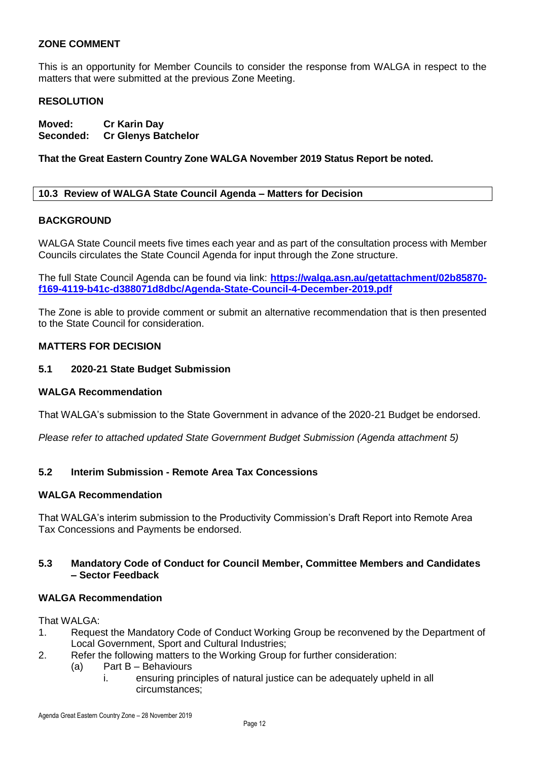#### **ZONE COMMENT**

This is an opportunity for Member Councils to consider the response from WALGA in respect to the matters that were submitted at the previous Zone Meeting.

#### **RESOLUTION**

**Moved: Cr Karin Day Seconded: Cr Glenys Batchelor**

#### **That the Great Eastern Country Zone WALGA November 2019 Status Report be noted.**

#### <span id="page-19-0"></span>**10.3 Review of WALGA State Council Agenda – Matters for Decision**

#### **BACKGROUND**

WALGA State Council meets five times each year and as part of the consultation process with Member Councils circulates the State Council Agenda for input through the Zone structure.

The full State Council Agenda can be found via link: **[https://walga.asn.au/getattachment/02b85870](https://walga.asn.au/getattachment/02b85870-f169-4119-b41c-d388071d8dbc/Agenda-State-Council-4-December-2019.pdf) [f169-4119-b41c-d388071d8dbc/Agenda-State-Council-4-December-2019.pdf](https://walga.asn.au/getattachment/02b85870-f169-4119-b41c-d388071d8dbc/Agenda-State-Council-4-December-2019.pdf)**

The Zone is able to provide comment or submit an alternative recommendation that is then presented to the State Council for consideration.

#### **MATTERS FOR DECISION**

#### **5.1 2020-21 State Budget Submission**

#### **WALGA Recommendation**

That WALGA's submission to the State Government in advance of the 2020-21 Budget be endorsed.

*Please refer to attached updated State Government Budget Submission (Agenda attachment 5)*

#### **5.2 Interim Submission - Remote Area Tax Concessions**

#### **WALGA Recommendation**

That WALGA's interim submission to the Productivity Commission's Draft Report into Remote Area Tax Concessions and Payments be endorsed.

#### **5.3 Mandatory Code of Conduct for Council Member, Committee Members and Candidates – Sector Feedback**

#### **WALGA Recommendation**

That WALGA:

- 1. Request the Mandatory Code of Conduct Working Group be reconvened by the Department of Local Government, Sport and Cultural Industries;
- 2. Refer the following matters to the Working Group for further consideration:
	- (a) Part B Behaviours
		- i. ensuring principles of natural justice can be adequately upheld in all circumstances;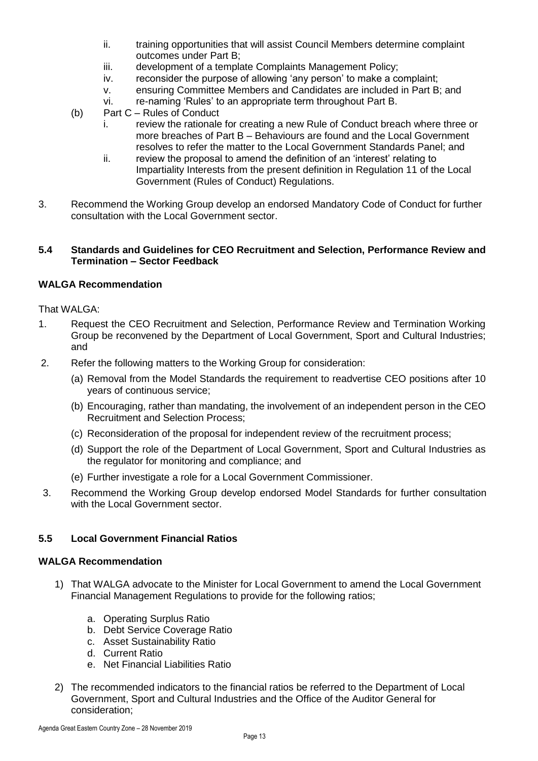- ii. training opportunities that will assist Council Members determine complaint outcomes under Part B;
- iii. development of a template Complaints Management Policy;
- iv. reconsider the purpose of allowing 'any person' to make a complaint;
- v. ensuring Committee Members and Candidates are included in Part B; and
- vi. re-naming 'Rules' to an appropriate term throughout Part B.
- (b) Part C Rules of Conduct
	- i. review the rationale for creating a new Rule of Conduct breach where three or more breaches of Part B – Behaviours are found and the Local Government resolves to refer the matter to the Local Government Standards Panel; and
	- ii. review the proposal to amend the definition of an 'interest' relating to Impartiality Interests from the present definition in Regulation 11 of the Local Government (Rules of Conduct) Regulations.
- 3. Recommend the Working Group develop an endorsed Mandatory Code of Conduct for further consultation with the Local Government sector.

#### **5.4 Standards and Guidelines for CEO Recruitment and Selection, Performance Review and Termination – Sector Feedback**

#### **WALGA Recommendation**

That WALGA:

- 1. Request the CEO Recruitment and Selection, Performance Review and Termination Working Group be reconvened by the Department of Local Government, Sport and Cultural Industries; and
- 2. Refer the following matters to the Working Group for consideration:
	- (a) Removal from the Model Standards the requirement to readvertise CEO positions after 10 years of continuous service;
	- (b) Encouraging, rather than mandating, the involvement of an independent person in the CEO Recruitment and Selection Process;
	- (c) Reconsideration of the proposal for independent review of the recruitment process;
	- (d) Support the role of the Department of Local Government, Sport and Cultural Industries as the regulator for monitoring and compliance; and
	- (e) Further investigate a role for a Local Government Commissioner.
- 3. Recommend the Working Group develop endorsed Model Standards for further consultation with the Local Government sector.

#### **5.5 Local Government Financial Ratios**

#### **WALGA Recommendation**

- 1) That WALGA advocate to the Minister for Local Government to amend the Local Government Financial Management Regulations to provide for the following ratios;
	- a. Operating Surplus Ratio
	- b. Debt Service Coverage Ratio
	- c. Asset Sustainability Ratio
	- d. Current Ratio
	- e. Net Financial Liabilities Ratio
- 2) The recommended indicators to the financial ratios be referred to the Department of Local Government, Sport and Cultural Industries and the Office of the Auditor General for consideration;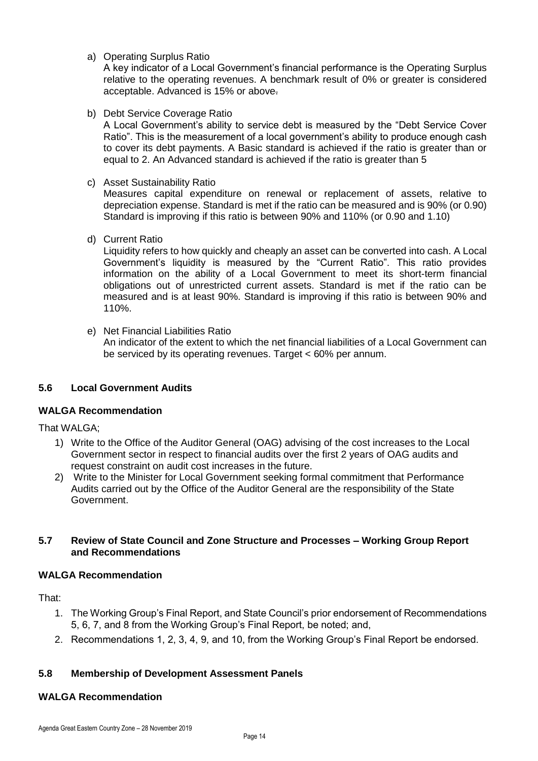a) Operating Surplus Ratio

A key indicator of a Local Government's financial performance is the Operating Surplus relative to the operating revenues. A benchmark result of 0% or greater is considered acceptable. Advanced is 15% or above.

b) Debt Service Coverage Ratio

A Local Government's ability to service debt is measured by the "Debt Service Cover Ratio". This is the measurement of a local government's ability to produce enough cash to cover its debt payments. A Basic standard is achieved if the ratio is greater than or equal to 2. An Advanced standard is achieved if the ratio is greater than 5

c) Asset Sustainability Ratio

Measures capital expenditure on renewal or replacement of assets, relative to depreciation expense. Standard is met if the ratio can be measured and is 90% (or 0.90) Standard is improving if this ratio is between 90% and 110% (or 0.90 and 1.10)

d) Current Ratio

Liquidity refers to how quickly and cheaply an asset can be converted into cash. A Local Government's liquidity is measured by the "Current Ratio". This ratio provides information on the ability of a Local Government to meet its short-term financial obligations out of unrestricted current assets. Standard is met if the ratio can be measured and is at least 90%. Standard is improving if this ratio is between 90% and 110%.

e) Net Financial Liabilities Ratio

An indicator of the extent to which the net financial liabilities of a Local Government can be serviced by its operating revenues. Target < 60% per annum.

#### **5.6 Local Government Audits**

#### **WALGA Recommendation**

That WALGA;

- 1) Write to the Office of the Auditor General (OAG) advising of the cost increases to the Local Government sector in respect to financial audits over the first 2 years of OAG audits and request constraint on audit cost increases in the future.
- 2) Write to the Minister for Local Government seeking formal commitment that Performance Audits carried out by the Office of the Auditor General are the responsibility of the State Government.

#### **5.7 Review of State Council and Zone Structure and Processes – Working Group Report and Recommendations**

#### **WALGA Recommendation**

That:

- 1. The Working Group's Final Report, and State Council's prior endorsement of Recommendations 5, 6, 7, and 8 from the Working Group's Final Report, be noted; and,
- 2. Recommendations 1, 2, 3, 4, 9, and 10, from the Working Group's Final Report be endorsed.

#### **5.8 Membership of Development Assessment Panels**

#### **WALGA Recommendation**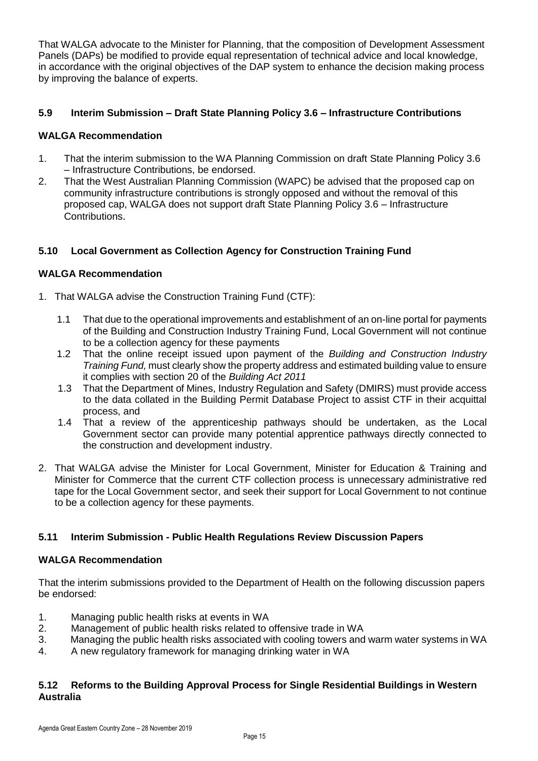That WALGA advocate to the Minister for Planning, that the composition of Development Assessment Panels (DAPs) be modified to provide equal representation of technical advice and local knowledge, in accordance with the original objectives of the DAP system to enhance the decision making process by improving the balance of experts.

#### **5.9 Interim Submission – Draft State Planning Policy 3.6 – Infrastructure Contributions**

#### **WALGA Recommendation**

- 1. That the interim submission to the WA Planning Commission on draft State Planning Policy 3.6 – Infrastructure Contributions, be endorsed.
- 2. That the West Australian Planning Commission (WAPC) be advised that the proposed cap on community infrastructure contributions is strongly opposed and without the removal of this proposed cap, WALGA does not support draft State Planning Policy 3.6 – Infrastructure **Contributions**

#### **5.10 Local Government as Collection Agency for Construction Training Fund**

#### **WALGA Recommendation**

- 1. That WALGA advise the Construction Training Fund (CTF):
	- 1.1 That due to the operational improvements and establishment of an on-line portal for payments of the Building and Construction Industry Training Fund, Local Government will not continue to be a collection agency for these payments
	- 1.2 That the online receipt issued upon payment of the *Building and Construction Industry Training Fund,* must clearly show the property address and estimated building value to ensure it complies with section 20 of the *Building Act 2011*
	- 1.3 That the Department of Mines, Industry Regulation and Safety (DMIRS) must provide access to the data collated in the Building Permit Database Project to assist CTF in their acquittal process, and
	- 1.4 That a review of the apprenticeship pathways should be undertaken, as the Local Government sector can provide many potential apprentice pathways directly connected to the construction and development industry.
- 2. That WALGA advise the Minister for Local Government, Minister for Education & Training and Minister for Commerce that the current CTF collection process is unnecessary administrative red tape for the Local Government sector, and seek their support for Local Government to not continue to be a collection agency for these payments.

#### **5.11 Interim Submission - Public Health Regulations Review Discussion Papers**

#### **WALGA Recommendation**

That the interim submissions provided to the Department of Health on the following discussion papers be endorsed:

- 1. Managing public health risks at events in WA
- 2. Management of public health risks related to offensive trade in WA
- 3. Managing the public health risks associated with cooling towers and warm water systems in WA
- 4. A new regulatory framework for managing drinking water in WA

#### **5.12 Reforms to the Building Approval Process for Single Residential Buildings in Western Australia**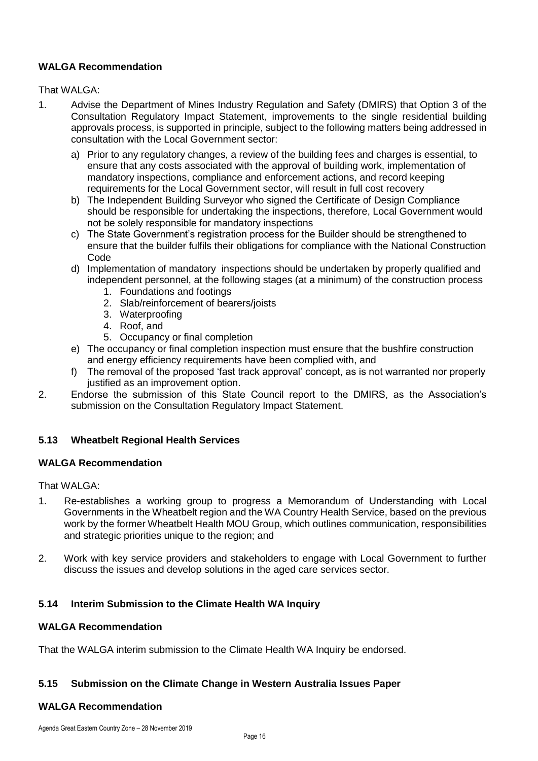#### **WALGA Recommendation**

#### That WALGA:

- 1. Advise the Department of Mines Industry Regulation and Safety (DMIRS) that Option 3 of the Consultation Regulatory Impact Statement, improvements to the single residential building approvals process, is supported in principle, subject to the following matters being addressed in consultation with the Local Government sector:
	- a) Prior to any regulatory changes, a review of the building fees and charges is essential, to ensure that any costs associated with the approval of building work, implementation of mandatory inspections, compliance and enforcement actions, and record keeping requirements for the Local Government sector, will result in full cost recovery
	- b) The Independent Building Surveyor who signed the Certificate of Design Compliance should be responsible for undertaking the inspections, therefore, Local Government would not be solely responsible for mandatory inspections
	- c) The State Government's registration process for the Builder should be strengthened to ensure that the builder fulfils their obligations for compliance with the National Construction Code
	- d) Implementation of mandatory inspections should be undertaken by properly qualified and independent personnel, at the following stages (at a minimum) of the construction process
		- 1. Foundations and footings
		- 2. Slab/reinforcement of bearers/joists
		- 3. Waterproofing
		- 4. Roof, and
		- 5. Occupancy or final completion
	- e) The occupancy or final completion inspection must ensure that the bushfire construction and energy efficiency requirements have been complied with, and
	- f) The removal of the proposed 'fast track approval' concept, as is not warranted nor properly justified as an improvement option.
- 2. Endorse the submission of this State Council report to the DMIRS, as the Association's submission on the Consultation Regulatory Impact Statement.

#### **5.13 Wheatbelt Regional Health Services**

#### **WALGA Recommendation**

#### That WALGA:

- 1. Re-establishes a working group to progress a Memorandum of Understanding with Local Governments in the Wheatbelt region and the WA Country Health Service, based on the previous work by the former Wheatbelt Health MOU Group, which outlines communication, responsibilities and strategic priorities unique to the region; and
- 2. Work with key service providers and stakeholders to engage with Local Government to further discuss the issues and develop solutions in the aged care services sector.

#### **5.14 Interim Submission to the Climate Health WA Inquiry**

#### **WALGA Recommendation**

That the WALGA interim submission to the Climate Health WA Inquiry be endorsed.

#### **5.15 Submission on the Climate Change in Western Australia Issues Paper**

#### **WALGA Recommendation**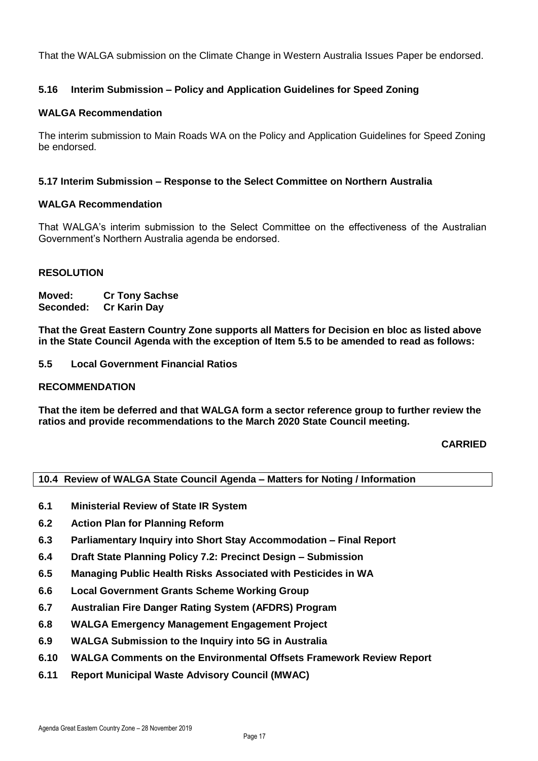That the WALGA submission on the Climate Change in Western Australia Issues Paper be endorsed.

#### **5.16 Interim Submission – Policy and Application Guidelines for Speed Zoning**

#### **WALGA Recommendation**

The interim submission to Main Roads WA on the Policy and Application Guidelines for Speed Zoning be endorsed.

#### **5.17 Interim Submission – Response to the Select Committee on Northern Australia**

#### **WALGA Recommendation**

That WALGA's interim submission to the Select Committee on the effectiveness of the Australian Government's Northern Australia agenda be endorsed.

#### **RESOLUTION**

**Moved: Cr Tony Sachse Seconded: Cr Karin Day**

**That the Great Eastern Country Zone supports all Matters for Decision en bloc as listed above in the State Council Agenda with the exception of Item 5.5 to be amended to read as follows:**

**5.5 Local Government Financial Ratios** 

#### **RECOMMENDATION**

**That the item be deferred and that WALGA form a sector reference group to further review the ratios and provide recommendations to the March 2020 State Council meeting.**

#### **CARRIED**

#### <span id="page-24-0"></span>**10.4 Review of WALGA State Council Agenda – Matters for Noting / Information**

- **6.1 Ministerial Review of State IR System**
- **6.2 Action Plan for Planning Reform**
- **6.3 Parliamentary Inquiry into Short Stay Accommodation – Final Report**
- **6.4 Draft State Planning Policy 7.2: Precinct Design – Submission**
- **6.5 Managing Public Health Risks Associated with Pesticides in WA**
- **6.6 Local Government Grants Scheme Working Group**
- **6.7 Australian Fire Danger Rating System (AFDRS) Program**
- **6.8 WALGA Emergency Management Engagement Project**
- **6.9 WALGA Submission to the Inquiry into 5G in Australia**
- **6.10 WALGA Comments on the Environmental Offsets Framework Review Report**
- **6.11 Report Municipal Waste Advisory Council (MWAC)**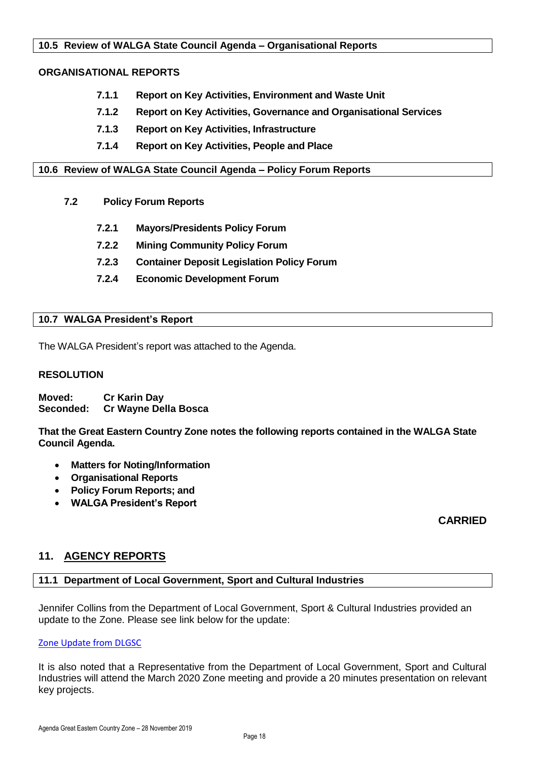#### <span id="page-25-0"></span>**10.5 Review of WALGA State Council Agenda – Organisational Reports**

#### **ORGANISATIONAL REPORTS**

- **7.1.1 Report on Key Activities, Environment and Waste Unit**
- **7.1.2 Report on Key Activities, Governance and Organisational Services**
- **7.1.3 Report on Key Activities, Infrastructure**
- **7.1.4 Report on Key Activities, People and Place**

<span id="page-25-1"></span>**10.6 Review of WALGA State Council Agenda – Policy Forum Reports**

- **7.2 Policy Forum Reports**
	- **7.2.1 Mayors/Presidents Policy Forum**
	- **7.2.2 Mining Community Policy Forum**
	- **7.2.3 Container Deposit Legislation Policy Forum**
	- **7.2.4 Economic Development Forum**

#### <span id="page-25-2"></span>**10.7 WALGA President's Report**

The WALGA President's report was attached to the Agenda.

#### **RESOLUTION**

**Moved: Cr Karin Day Seconded: Cr Wayne Della Bosca**

**That the Great Eastern Country Zone notes the following reports contained in the WALGA State Council Agenda.**

- **Matters for Noting/Information**
- **Organisational Reports**
- **Policy Forum Reports; and**
- **WALGA President's Report**

#### **CARRIED**

#### <span id="page-25-3"></span>**11. AGENCY REPORTS**

#### <span id="page-25-4"></span>**11.1 Department of Local Government, Sport and Cultural Industries**

Jennifer Collins from the Department of Local Government, Sport & Cultural Industries provided an update to the Zone. Please see link below for the update:

#### [Zone Update from DLGSC](https://aus01.safelinks.protection.outlook.com/?url=https%3A%2F%2Fus7.campaign-archive.com%2F%3Fu%3D6b3a3f7b848e66bfa0f6fc583%26id%3D4837dfeee1&data=02%7C01%7Cliz.toohey%40dlgsc.wa.gov.au%7C38c288179a634161369308d76bf8b3f5%7Cc1ae0ae2d5044287b6f47eafd6648d22%7C1%7C0%7C637096588216167272&sdata=ZbFAosgULCDMU%2FF8AQmCdPzYZn24FRfxxmDtIRwUG3E%3D&reserved=0)

It is also noted that a Representative from the Department of Local Government, Sport and Cultural Industries will attend the March 2020 Zone meeting and provide a 20 minutes presentation on relevant key projects.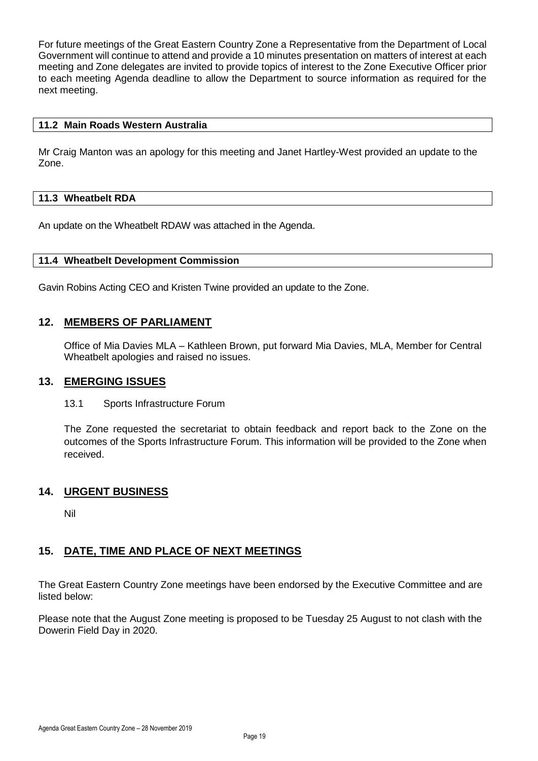For future meetings of the Great Eastern Country Zone a Representative from the Department of Local Government will continue to attend and provide a 10 minutes presentation on matters of interest at each meeting and Zone delegates are invited to provide topics of interest to the Zone Executive Officer prior to each meeting Agenda deadline to allow the Department to source information as required for the next meeting.

#### <span id="page-26-0"></span>**11.2 Main Roads Western Australia**

Mr Craig Manton was an apology for this meeting and Janet Hartley-West provided an update to the Zone.

#### <span id="page-26-1"></span>**11.3 Wheatbelt RDA**

An update on the Wheatbelt RDAW was attached in the Agenda.

#### <span id="page-26-2"></span>**11.4 Wheatbelt Development Commission**

Gavin Robins Acting CEO and Kristen Twine provided an update to the Zone.

#### <span id="page-26-3"></span>**12. MEMBERS OF PARLIAMENT**

Office of Mia Davies MLA – Kathleen Brown, put forward Mia Davies, MLA, Member for Central Wheatbelt apologies and raised no issues.

#### <span id="page-26-4"></span>**13. EMERGING ISSUES**

#### 13.1 Sports Infrastructure Forum

The Zone requested the secretariat to obtain feedback and report back to the Zone on the outcomes of the Sports Infrastructure Forum. This information will be provided to the Zone when received.

#### <span id="page-26-5"></span>**14. URGENT BUSINESS**

Nil

#### <span id="page-26-6"></span>**15. DATE, TIME AND PLACE OF NEXT MEETINGS**

The Great Eastern Country Zone meetings have been endorsed by the Executive Committee and are listed below:

Please note that the August Zone meeting is proposed to be Tuesday 25 August to not clash with the Dowerin Field Day in 2020.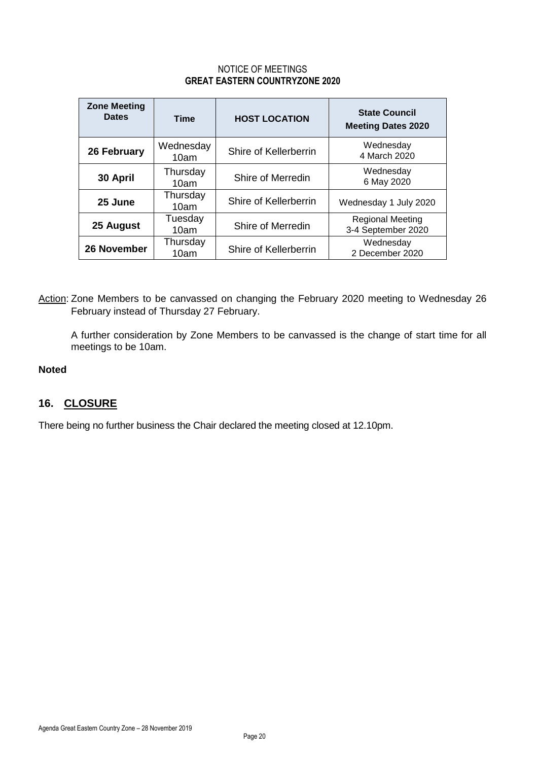#### NOTICE OF MEETINGS **GREAT EASTERN COUNTRYZONE 2020**

| <b>Zone Meeting</b><br><b>Dates</b> | <b>Time</b>       | <b>HOST LOCATION</b>  | <b>State Council</b><br><b>Meeting Dates 2020</b> |
|-------------------------------------|-------------------|-----------------------|---------------------------------------------------|
| 26 February                         | Wednesday<br>10am | Shire of Kellerberrin | Wednesday<br>4 March 2020                         |
| 30 April                            | Thursday<br>10am  | Shire of Merredin     | Wednesday<br>6 May 2020                           |
| 25 June                             | Thursday<br>10am  | Shire of Kellerberrin | Wednesday 1 July 2020                             |
| 25 August                           | Tuesday<br>10am   | Shire of Merredin     | <b>Regional Meeting</b><br>3-4 September 2020     |
| 26 November                         | Thursday<br>10am  | Shire of Kellerberrin | Wednesday<br>2 December 2020                      |

Action: Zone Members to be canvassed on changing the February 2020 meeting to Wednesday 26 February instead of Thursday 27 February.

A further consideration by Zone Members to be canvassed is the change of start time for all meetings to be 10am.

#### **Noted**

#### <span id="page-27-0"></span>**16. CLOSURE**

There being no further business the Chair declared the meeting closed at 12.10pm.